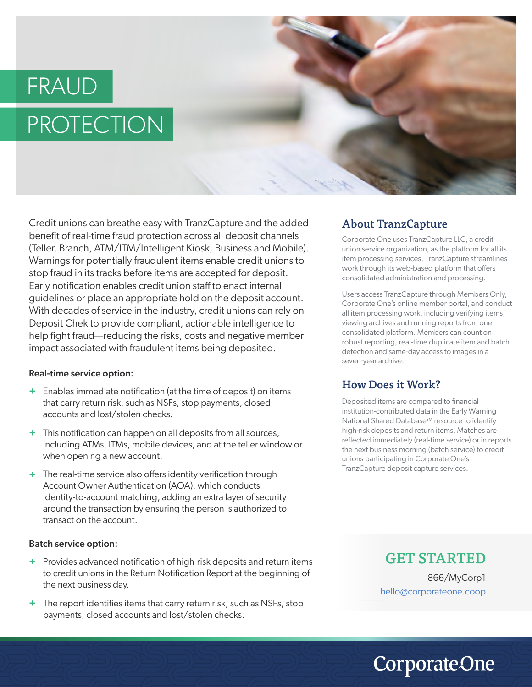# FRAUD **PROTECTION**



Credit unions can breathe easy with TranzCapture and the added benefit of real-time fraud protection across all deposit channels (Teller, Branch, ATM/ITM/Intelligent Kiosk, Business and Mobile). Warnings for potentially fraudulent items enable credit unions to stop fraud in its tracks before items are accepted for deposit. Early notification enables credit union staff to enact internal guidelines or place an appropriate hold on the deposit account. With decades of service in the industry, credit unions can rely on Deposit Chek to provide compliant, actionable intelligence to help fight fraud—reducing the risks, costs and negative member impact associated with fraudulent items being deposited.

#### Real-time service option:

- Enables immediate notification (at the time of deposit) on items **+** that carry return risk, such as NSFs, stop payments, closed accounts and lost/stolen checks.
- This notification can happen on all deposits from all sources, **+** including ATMs, ITMs, mobile devices, and at the teller window or when opening a new account.
- The real-time service also offers identity verification through **+** Account Owner Authentication (AOA), which conducts identity-to-account matching, adding an extra layer of security around the transaction by ensuring the person is authorized to transact on the account.

#### Batch service option:

- Provides advanced notification of high-risk deposits and return items **+** to credit unions in the Return Notification Report at the beginning of the next business day.
- + The report identifies items that carry return risk, such as NSFs, stop payments, closed accounts and lost/stolen checks.

#### About TranzCapture

Corporate One uses TranzCapture LLC, a credit union service organization, as the platform for all its item processing services. TranzCapture streamlines work through its web-based platform that offers consolidated administration and processing.

Users access TranzCapture through Members Only, Corporate One's online member portal, and conduct all item processing work, including verifying items, viewing archives and running reports from one consolidated platform. Members can count on robust reporting, real-time duplicate item and batch detection and same-day access to images in a seven-year archive.

#### How Does it Work?

Deposited items are compared to financial institution-contributed data in the Early Warning National Shared Database<sup>SM</sup> resource to identify high-risk deposits and return items. Matches are reflected immediately (real-time service) or in reports the next business morning (batch service) to credit unions participating in Corporate One's TranzCapture deposit capture services.

> GET STARTED 866/MyCorp1 hello@corporateone.coop

# **CorporateOne**